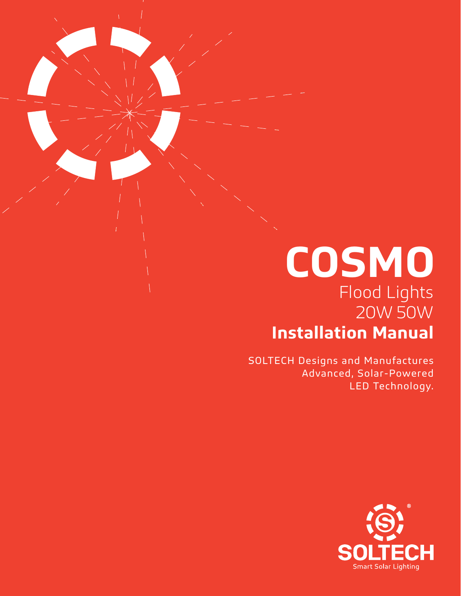### **COSMO** Flood Lights 20W 50W **Installation Manual**

SOLTECH Designs and Manufactures Advanced, Solar-Powered LED Technology.

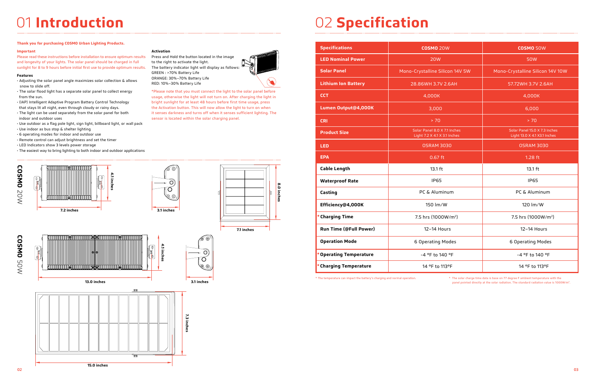## 01 **Introduction** 02 **Specification**

#### **Thank you for purchasing COSMO Urban Lighting Products.**

#### **Important**

Please read these instructions before installation to ensure optimum results and longevity of your lights. The solar panel should be charged in full sunlight for 8 to 9 hours before initial first use to provide optimum results.

#### **Features**

- Adjusting the solar panel angle maximizes solar collection & allows snow to slide off.
- The solar flood light has a separate solar panel to collect energy from the sun.
- (IAP) Intelligent Adaptive Program Battery Control Technology that stays lit all night, even through cloudy or rainy days.
- The light can be used separately from the solar panel for both indoor and outdoor uses
- Use outdoor as a flag pole light, sign light, billboard light, or wall pack
- Use indoor as bus stop & shelter lighting
- 6 operating modes for indoor and outdoor use
- Remote control can adjust brightness and set the timer
- LED Indicators show 3 levels power storage
- The easiest way to bring lighting to both indoor and outdoor applications

#### **Activation**

Press and Hold the button located in the image to the right to activate the light. The battery indicator light will display as follows: GREEN : >70% Battery Life ORANGE: 30%–70% Battery Life RED: 10%–30% Battery Life

\*Please note that you must connect the light to the solar panel before usage, otherwise the light will not turn on. After charging the light in bright sunlight for at least 48 hours before first time usage, press the Activation button. This will now allow the light to turn on when it senses darkness and turns off when it senses sufficient lighting. The sensor is located within the solar charging panel.

**8.0 inches**

inches

∣°s

 $\mathcal{M}$ 

| <b>Specifications</b>         | <b>COSMO 20W</b>                                             | <b>COSMO 50W</b>                                              |
|-------------------------------|--------------------------------------------------------------|---------------------------------------------------------------|
| <b>LED Nominal Power</b>      | <b>20W</b>                                                   | 50W                                                           |
| <b>Solar Panel</b>            | Mono-Crystalline Silicon 14V 5W                              | Mono-Crystalline Silicon 14V 10W                              |
| <b>Lithium Ion Battery</b>    | 28.86WH 3.7V 2.6AH                                           | 57.72WH 3.7V 2.6AH                                            |
| <b>CCT</b>                    | 4,000K                                                       | 4,000K                                                        |
| Lumen Output@4,000K           | 3,000                                                        | 6,000                                                         |
| <b>CRI</b>                    | > 70                                                         | > 70                                                          |
| <b>Product Size</b>           | Solar Panel 8.0 X 7.1 Inches<br>Light 7.2 X 4.1 X 3.1 Inches | Solar Panel 15.0 X 7.3 Inches<br>Light 13.0 X 4.1 X3.1 Inches |
| <b>LED</b>                    | <b>OSRAM 3030</b>                                            | <b>OSRAM 3030</b>                                             |
| <b>EPA</b>                    | $0.67$ ft                                                    | 1.28 ft                                                       |
| <b>Cable Length</b>           | 13.1 ft                                                      | 13.1 ft                                                       |
| <b>Waterproof Rate</b>        | <b>IP65</b>                                                  | <b>IP65</b>                                                   |
| Casting                       | PC & Aluminum                                                | PC & Aluminum                                                 |
| Efficiency@4,000K             | 150 lm/W                                                     | 120 lm/W                                                      |
| * Charging Time               | 7.5 hrs (1000W/m <sup>2</sup> )                              | 7.5 hrs (1000W/m <sup>2</sup> )                               |
| <b>Run Time (@Full Power)</b> | 12-14 Hours                                                  | 12-14 Hours                                                   |
| <b>Operation Mode</b>         | 6 Operating Modes                                            | 6 Operating Modes                                             |
| * Operating Temperature       | -4 °F to 140 °F                                              | -4 °F to 140 °F                                               |
| * Charging Temperature        | 14 °F to 113°F                                               | 14 °F to 113°F                                                |



\* The temperature can impact the battery's charging and normal operation. \* The solar charge time data is base on 77 degree F ambient temperature with the panel pointed directly at the solar radiation. The standard radiation value is 1000W/m2.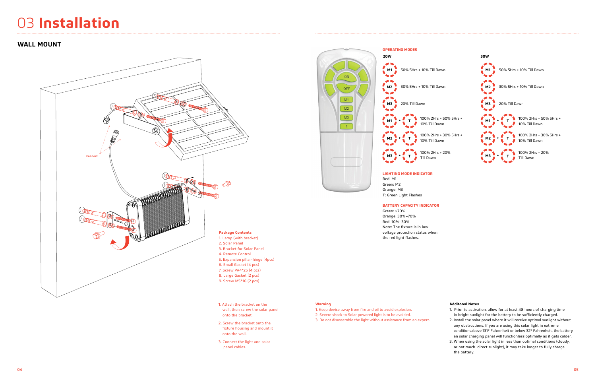### 03 **Installation**

### **WALL MOUNT**

- 
- 
- 
- 
- 
- 1. Attach the bracket on the wall, then screw the solar panel onto the bracket.
- 2. Screw the bracket onto the fixture housing and mount it onto the wall.
- 3. Connect the light and solar panel cables.



#### **Additonal Notes**

- 1. Prior to activation, allow for at least 48 hours of charging time in bright sunlight for the battery to be sufficiently charged.
- 2. Install the solar panel where it will receive optimal sunlight without any obstructions. If you are using this solar light in extreme conditionsabove 131° Fahrenheit or below 32° Fahrenheit, the battery an solar charging panel will functionless optimally as it gets colder.
- 3. When using the solar light in less than optimal conditions (cloudy, or not much direct sunlight), it may take longer to fully charge the battery.



T: Green Light Flashes

#### **BATTERY CAPACITY INDICATOR**

Green: >70% Orange: 30%–70% Red: 10%–30% Note: The fixture is in low voltage protection status when the red light flashes.

#### **Warning**

- 1. Keep device away from fire and oil to avoid explosion. 2. Severe shock to Solar powered light is to be avoided.
- 3. Do not disassemble the light without assistance from an expert.

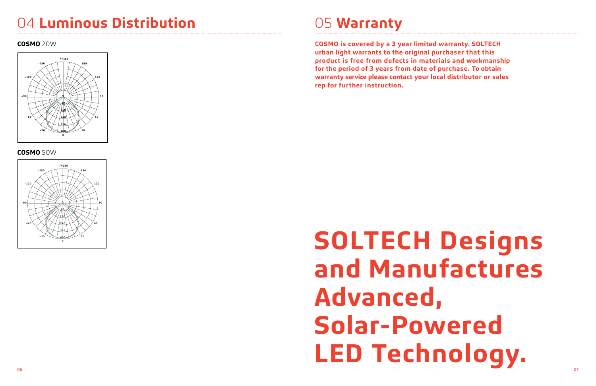## 04 **Luminous Distribution** 05 **Warranty**

**COSMO is covered by a 3 year limited warranty. SOLTECH urban light warrants to the original purchaser that this product is free from defects in materials and workmanship for the period of 3 years from date of purchase. To obtain warranty service please contact your local distributor or sales rep for further instruction.** 

# 06 and the contract of the contract of the contract of the contract of the contract of the contract of the contract of the contract of the contract of the contract of the contract of the contract of the contract of the con **SOLTECH Designs and Manufactures Advanced, Solar-Powered LED Technology.**

### **COSMO** 20W

### **COSMO** 50W